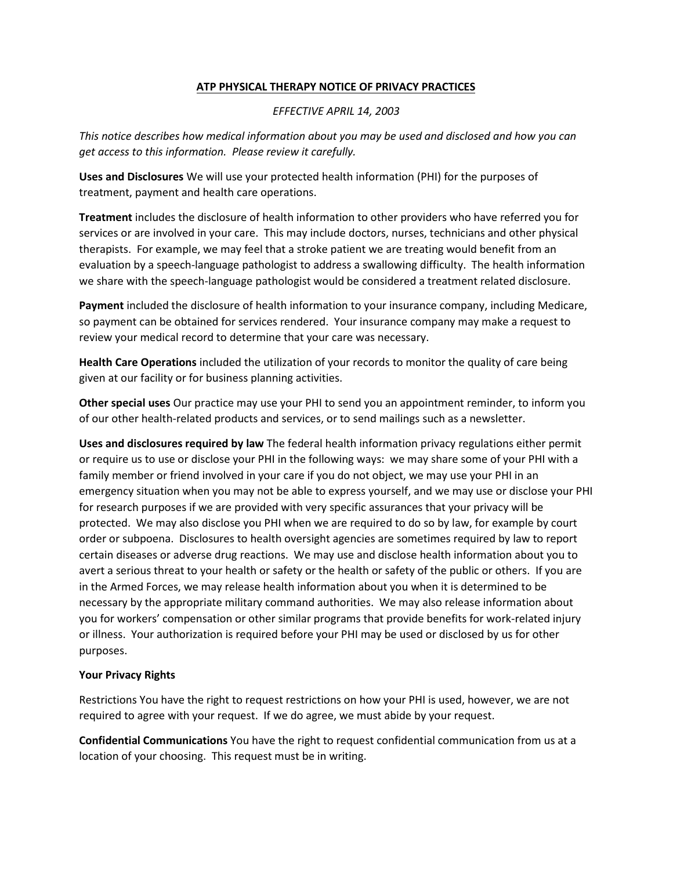## **ATP PHYSICAL THERAPY NOTICE OF PRIVACY PRACTICES**

## *EFFECTIVE APRIL 14, 2003*

*This notice describes how medical information about you may be used and disclosed and how you can get access to this information. Please review it carefully.*

**Uses and Disclosures** We will use your protected health information (PHI) for the purposes of treatment, payment and health care operations.

**Treatment** includes the disclosure of health information to other providers who have referred you for services or are involved in your care. This may include doctors, nurses, technicians and other physical therapists. For example, we may feel that a stroke patient we are treating would benefit from an evaluation by a speech-language pathologist to address a swallowing difficulty. The health information we share with the speech-language pathologist would be considered a treatment related disclosure.

**Payment** included the disclosure of health information to your insurance company, including Medicare, so payment can be obtained for services rendered. Your insurance company may make a request to review your medical record to determine that your care was necessary.

**Health Care Operations** included the utilization of your records to monitor the quality of care being given at our facility or for business planning activities.

**Other special uses** Our practice may use your PHI to send you an appointment reminder, to inform you of our other health-related products and services, or to send mailings such as a newsletter.

**Uses and disclosures required by law** The federal health information privacy regulations either permit or require us to use or disclose your PHI in the following ways: we may share some of your PHI with a family member or friend involved in your care if you do not object, we may use your PHI in an emergency situation when you may not be able to express yourself, and we may use or disclose your PHI for research purposes if we are provided with very specific assurances that your privacy will be protected. We may also disclose you PHI when we are required to do so by law, for example by court order or subpoena. Disclosures to health oversight agencies are sometimes required by law to report certain diseases or adverse drug reactions. We may use and disclose health information about you to avert a serious threat to your health or safety or the health or safety of the public or others. If you are in the Armed Forces, we may release health information about you when it is determined to be necessary by the appropriate military command authorities. We may also release information about you for workers' compensation or other similar programs that provide benefits for work-related injury or illness. Your authorization is required before your PHI may be used or disclosed by us for other purposes.

## **Your Privacy Rights**

Restrictions You have the right to request restrictions on how your PHI is used, however, we are not required to agree with your request. If we do agree, we must abide by your request.

**Confidential Communications** You have the right to request confidential communication from us at a location of your choosing. This request must be in writing.